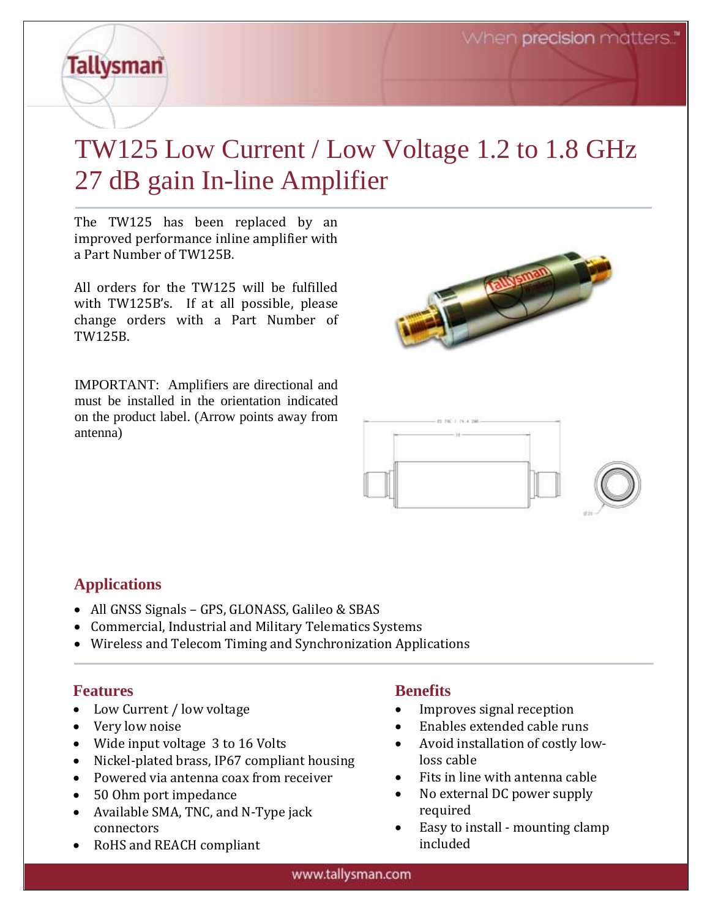# **Tallysman**

## TW125 Low Current / Low Voltage 1.2 to 1.8 GHz 27 dB gain In-line Amplifier

The TW125 has been replaced by an improved performance inline amplifier with a Part Number of TW125B.

All orders for the TW125 will be fulfilled with TW125B's. If at all possible, please change orders with a Part Number of TW125B.

IMPORTANT: Amplifiers are directional and must be installed in the orientation indicated on the product label. (Arrow points away from antenna)





#### **Applications**

- All GNSS Signals GPS, GLONASS, Galileo & SBAS
- Commercial, Industrial and Military Telematics Systems
- Wireless and Telecom Timing and Synchronization Applications

#### **Features**

- Low Current / low voltage
- Very low noise
- Wide input voltage 3 to 16 Volts
- Nickel-plated brass, IP67 compliant housing
- Powered via antenna coax from receiver
- 50 Ohm port impedance
- Available SMA, TNC, and N-Type jack connectors
- RoHS and REACH compliant

#### **Benefits**

- Improves signal reception
- Enables extended cable runs
- Avoid installation of costly lowloss cable
- Fits in line with antenna cable
- No external DC power supply required
- Easy to install mounting clamp included